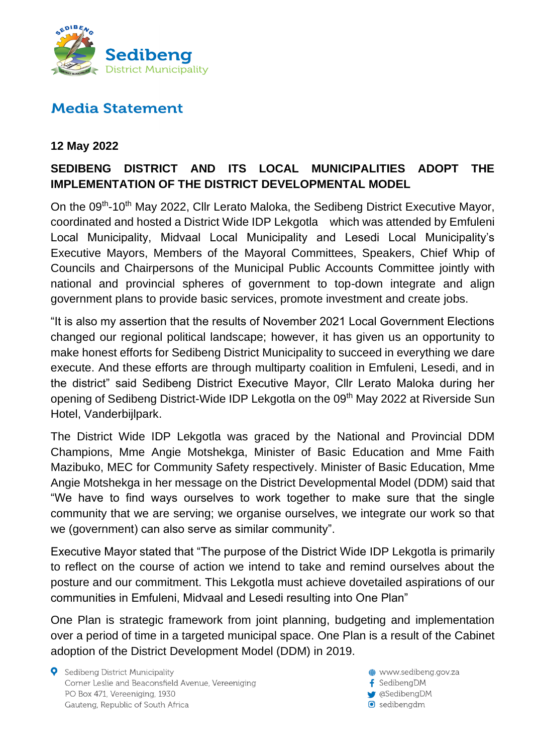

## **Media Statement**

## **12 May 2022**

## **SEDIBENG DISTRICT AND ITS LOCAL MUNICIPALITIES ADOPT THE IMPLEMENTATION OF THE DISTRICT DEVELOPMENTAL MODEL**

On the 09<sup>th</sup>-10<sup>th</sup> May 2022, Cllr Lerato Maloka, the Sedibeng District Executive Mayor, coordinated and hosted a District Wide IDP Lekgotla which was attended by Emfuleni Local Municipality, Midvaal Local Municipality and Lesedi Local Municipality's Executive Mayors, Members of the Mayoral Committees, Speakers, Chief Whip of Councils and Chairpersons of the Municipal Public Accounts Committee jointly with national and provincial spheres of government to top-down integrate and align government plans to provide basic services, promote investment and create jobs.

"It is also my assertion that the results of November 2021 Local Government Elections changed our regional political landscape; however, it has given us an opportunity to make honest efforts for Sedibeng District Municipality to succeed in everything we dare execute. And these efforts are through multiparty coalition in Emfuleni, Lesedi, and in the district" said Sedibeng District Executive Mayor, Cllr Lerato Maloka during her opening of Sedibeng District-Wide IDP Lekgotla on the 09<sup>th</sup> May 2022 at Riverside Sun Hotel, Vanderbijlpark.

The District Wide IDP Lekgotla was graced by the National and Provincial DDM Champions, Mme Angie Motshekga, Minister of Basic Education and Mme Faith Mazibuko, MEC for Community Safety respectively. Minister of Basic Education, Mme Angie Motshekga in her message on the District Developmental Model (DDM) said that "We have to find ways ourselves to work together to make sure that the single community that we are serving; we organise ourselves, we integrate our work so that we (government) can also serve as similar community".

Executive Mayor stated that "The purpose of the District Wide IDP Lekgotla is primarily to reflect on the course of action we intend to take and remind ourselves about the posture and our commitment. This Lekgotla must achieve dovetailed aspirations of our communities in Emfuleni, Midvaal and Lesedi resulting into One Plan"

One Plan is strategic framework from joint planning, budgeting and implementation over a period of time in a targeted municipal space. One Plan is a result of the Cabinet adoption of the District Development Model (DDM) in 2019.